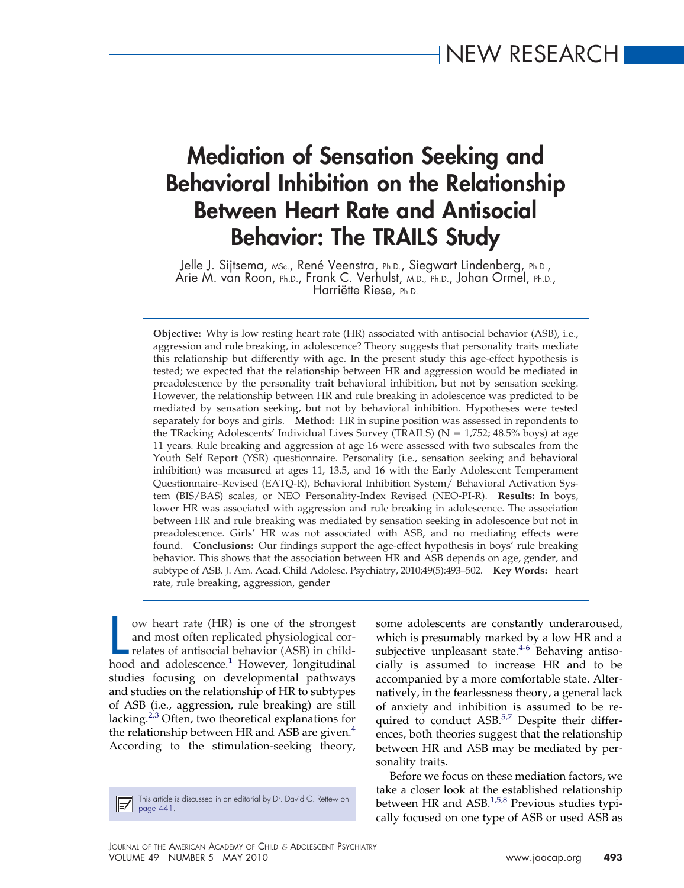# **Mediation of Sensation Seeking and Behavioral Inhibition on the Relationship Between Heart Rate and Antisocial Behavior: The TRAILS Study**

Jelle J. Sijtsema, MSc., René Veenstra, Ph.D., Siegwart Lindenberg, Ph.D., Arie M. van Roon, Ph.D., Frank C. Verhulst, M.D., Ph.D., Johan Ormel, Ph.D., Harriëtte Riese, Ph.D.

**Objective:** Why is low resting heart rate (HR) associated with antisocial behavior (ASB), i.e., aggression and rule breaking, in adolescence? Theory suggests that personality traits mediate this relationship but differently with age. In the present study this age-effect hypothesis is tested; we expected that the relationship between HR and aggression would be mediated in preadolescence by the personality trait behavioral inhibition, but not by sensation seeking. However, the relationship between HR and rule breaking in adolescence was predicted to be mediated by sensation seeking, but not by behavioral inhibition. Hypotheses were tested separately for boys and girls. **Method:** HR in supine position was assessed in repondents to the TRacking Adolescents' Individual Lives Survey (TRAILS) ( $N = 1.752$ ; 48.5% boys) at age 11 years. Rule breaking and aggression at age 16 were assessed with two subscales from the Youth Self Report (YSR) questionnaire. Personality (i.e., sensation seeking and behavioral inhibition) was measured at ages 11, 13.5, and 16 with the Early Adolescent Temperament Questionnaire–Revised (EATQ-R), Behavioral Inhibition System/ Behavioral Activation System (BIS/BAS) scales, or NEO Personality-Index Revised (NEO-PI-R). **Results:** In boys, lower HR was associated with aggression and rule breaking in adolescence. The association between HR and rule breaking was mediated by sensation seeking in adolescence but not in preadolescence. Girls' HR was not associated with ASB, and no mediating effects were found. **Conclusions:** Our findings support the age-effect hypothesis in boys' rule breaking behavior. This shows that the association between HR and ASB depends on age, gender, and subtype of ASB. J. Am. Acad. Child Adolesc. Psychiatry, 2010;49(5):493–502. **Key Words:** heart rate, rule breaking, aggression, gender

ow heart rate (HR) is one of the strongest<br>and most often replicated physiological cor-<br>relates of antisocial behavior (ASB) in child-<br>hood and adolescence.<sup>[1](#page-8-0)</sup> However, longitudinal ow heart rate (HR) is one of the strongest and most often replicated physiological correlates of antisocial behavior (ASB) in childstudies focusing on developmental pathways and studies on the relationship of HR to subtypes of ASB (i.e., aggression, rule breaking) are still lacking.<sup>[2,3](#page-8-0)</sup> Often, two theoretical explanations for the relationship between HR and ASB are given. $4$ According to the stimulation-seeking theory,

This article is discussed in an editorial by Dr. David C. Rettew on [page 441.](http://linkinghub.elsevier.com/retrieve/pii/S0890856710002108)

some adolescents are constantly underaroused, which is presumably marked by a low HR and a subjective unpleasant state.<sup>[4-6](#page-8-0)</sup> Behaving antisocially is assumed to increase HR and to be accompanied by a more comfortable state. Alternatively, in the fearlessness theory, a general lack of anxiety and inhibition is assumed to be re-quired to conduct ASB.<sup>[5,7](#page-8-0)</sup> Despite their differences, both theories suggest that the relationship between HR and ASB may be mediated by personality traits.

Before we focus on these mediation factors, we take a closer look at the established relationship between HR and ASB. $1,5,8$  Previous studies typically focused on one type of ASB or used ASB as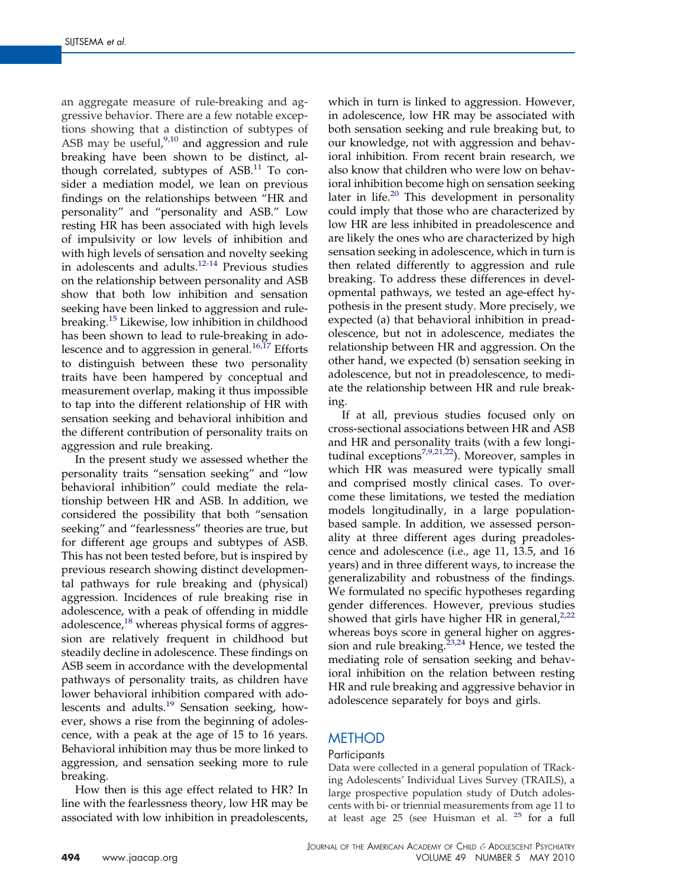an aggregate measure of rule-breaking and aggressive behavior. There are a few notable exceptions showing that a distinction of subtypes of ASB may be useful, $9,10$  and aggression and rule breaking have been shown to be distinct, al-though correlated, subtypes of ASB.<sup>[11](#page-8-0)</sup> To consider a mediation model, we lean on previous findings on the relationships between "HR and personality" and "personality and ASB." Low resting HR has been associated with high levels of impulsivity or low levels of inhibition and with high levels of sensation and novelty seeking in adolescents and adults. $12-14$  Previous studies on the relationship between personality and ASB show that both low inhibition and sensation seeking have been linked to aggression and rulebreaking[.15](#page-9-0) Likewise, low inhibition in childhood has been shown to lead to rule-breaking in adolescence and to aggression in general. $16,17$  Efforts to distinguish between these two personality traits have been hampered by conceptual and measurement overlap, making it thus impossible to tap into the different relationship of HR with sensation seeking and behavioral inhibition and the different contribution of personality traits on aggression and rule breaking.

In the present study we assessed whether the personality traits "sensation seeking" and "low behavioral inhibition" could mediate the relationship between HR and ASB. In addition, we considered the possibility that both "sensation seeking" and "fearlessness" theories are true, but for different age groups and subtypes of ASB. This has not been tested before, but is inspired by previous research showing distinct developmental pathways for rule breaking and (physical) aggression. Incidences of rule breaking rise in adolescence, with a peak of offending in middle adolescence, $^{18}$  whereas physical forms of aggression are relatively frequent in childhood but steadily decline in adolescence. These findings on ASB seem in accordance with the developmental pathways of personality traits, as children have lower behavioral inhibition compared with ado-lescents and adults.<sup>[19](#page-9-0)</sup> Sensation seeking, however, shows a rise from the beginning of adolescence, with a peak at the age of 15 to 16 years. Behavioral inhibition may thus be more linked to aggression, and sensation seeking more to rule breaking.

How then is this age effect related to HR? In line with the fearlessness theory, low HR may be associated with low inhibition in preadolescents,

which in turn is linked to aggression. However, in adolescence, low HR may be associated with both sensation seeking and rule breaking but, to our knowledge, not with aggression and behavioral inhibition. From recent brain research, we also know that children who were low on behavioral inhibition become high on sensation seeking later in life. $20$  This development in personality could imply that those who are characterized by low HR are less inhibited in preadolescence and are likely the ones who are characterized by high sensation seeking in adolescence, which in turn is then related differently to aggression and rule breaking. To address these differences in developmental pathways, we tested an age-effect hypothesis in the present study. More precisely, we expected (a) that behavioral inhibition in preadolescence, but not in adolescence, mediates the relationship between HR and aggression. On the other hand, we expected (b) sensation seeking in adolescence, but not in preadolescence, to mediate the relationship between HR and rule breaking.

If at all, previous studies focused only on cross-sectional associations between HR and ASB and HR and personality traits (with a few longitudinal exceptions<sup>7,9,21,22</sup>). Moreover, samples in which HR was measured were typically small and comprised mostly clinical cases. To overcome these limitations, we tested the mediation models longitudinally, in a large populationbased sample. In addition, we assessed personality at three different ages during preadolescence and adolescence (i.e., age 11, 13.5, and 16 years) and in three different ways, to increase the generalizability and robustness of the findings. We formulated no specific hypotheses regarding gender differences. However, previous studies showed that girls have higher HR in general, $2.22$ whereas boys score in general higher on aggression and rule breaking. $23,24$  Hence, we tested the mediating role of sensation seeking and behavioral inhibition on the relation between resting HR and rule breaking and aggressive behavior in adolescence separately for boys and girls.

# METHOD

## **Participants**

Data were collected in a general population of TRacking Adolescents' Individual Lives Survey (TRAILS), a large prospective population study of Dutch adolescents with bi- or triennial measurements from age 11 to at least age 25 (see Huisman et al. [25](#page-9-0) for a full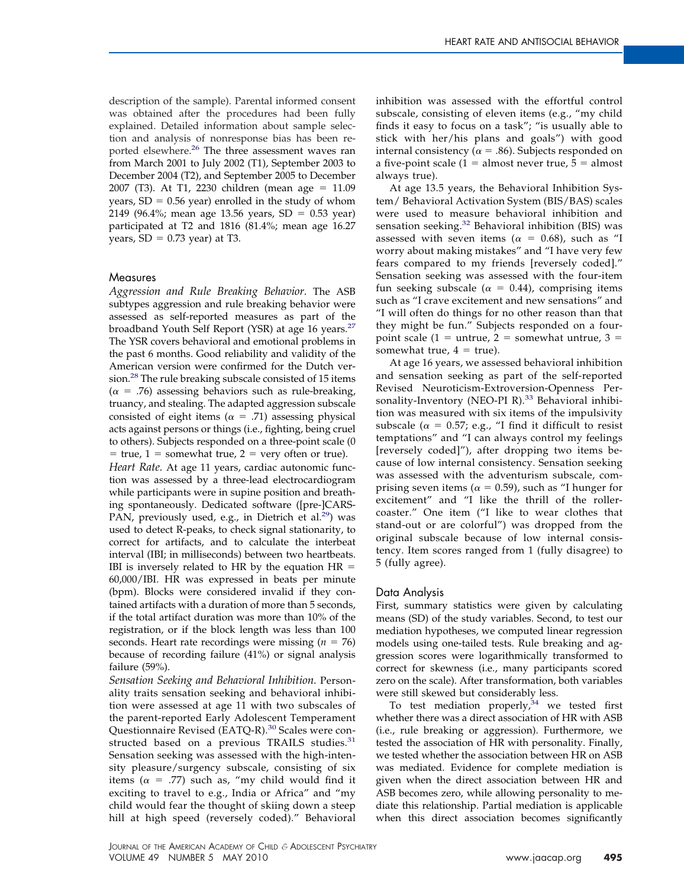description of the sample). Parental informed consent was obtained after the procedures had been fully explained. Detailed information about sample selection and analysis of nonresponse bias has been reported elsewhere.<sup>26</sup> The three assessment waves ran from March 2001 to July 2002 (T1), September 2003 to December 2004 (T2), and September 2005 to December 2007 (T3). At T1, 2230 children (mean age  $= 11.09$ years,  $SD = 0.56$  year) enrolled in the study of whom 2149 (96.4%; mean age 13.56 years,  $SD = 0.53$  year) participated at T2 and 1816 (81.4%; mean age 16.27 years,  $SD = 0.73$  year) at T3.

#### **Measures**

*Aggression and Rule Breaking Behavior.* The ASB subtypes aggression and rule breaking behavior were assessed as self-reported measures as part of the broadband Youth Self Report (YSR) at age 16 years.<sup>[27](#page-9-0)</sup> The YSR covers behavioral and emotional problems in the past 6 months. Good reliability and validity of the American version were confirmed for the Dutch version.<sup>28</sup> The rule breaking subscale consisted of 15 items  $(\alpha = .76)$  assessing behaviors such as rule-breaking, truancy, and stealing. The adapted aggression subscale consisted of eight items ( $\alpha = .71$ ) assessing physical acts against persons or things (i.e., fighting, being cruel to others). Subjects responded on a three-point scale (0 = true,  $1$  = somewhat true,  $2$  = very often or true). *Heart Rate.* At age 11 years, cardiac autonomic function was assessed by a three-lead electrocardiogram while participants were in supine position and breathing spontaneously. Dedicated software ([pre-]CARS-PAN, previously used, e.g., in Dietrich et al.<sup>29</sup>) was used to detect R-peaks, to check signal stationarity, to correct for artifacts, and to calculate the interbeat interval (IBI; in milliseconds) between two heartbeats. IBI is inversely related to HR by the equation  $HR =$ 60,000/IBI. HR was expressed in beats per minute (bpm). Blocks were considered invalid if they contained artifacts with a duration of more than 5 seconds, if the total artifact duration was more than 10% of the registration, or if the block length was less than 100 seconds. Heart rate recordings were missing  $(n = 76)$ because of recording failure (41%) or signal analysis failure (59%).

*Sensation Seeking and Behavioral Inhibition.* Personality traits sensation seeking and behavioral inhibition were assessed at age 11 with two subscales of the parent-reported Early Adolescent Temperament Questionnaire Revised (EATQ-R).<sup>[30](#page-9-0)</sup> Scales were con-structed based on a previous TRAILS studies.<sup>[31](#page-9-0)</sup> Sensation seeking was assessed with the high-intensity pleasure/surgency subscale, consisting of six items ( $\alpha$  = .77) such as, "my child would find it exciting to travel to e.g., India or Africa" and "my child would fear the thought of skiing down a steep hill at high speed (reversely coded)." Behavioral

inhibition was assessed with the effortful control subscale, consisting of eleven items (e.g., "my child finds it easy to focus on a task"; "is usually able to stick with her/his plans and goals") with good internal consistency ( $\alpha = .86$ ). Subjects responded on a five-point scale  $(1 =$  almost never true,  $5 =$  almost always true).

At age 13.5 years, the Behavioral Inhibition System/ Behavioral Activation System (BIS/BAS) scales were used to measure behavioral inhibition and sensation seeking.<sup>[32](#page-9-0)</sup> Behavioral inhibition (BIS) was assessed with seven items ( $\alpha = 0.68$ ), such as "I worry about making mistakes" and "I have very few fears compared to my friends [reversely coded]." Sensation seeking was assessed with the four-item fun seeking subscale ( $\alpha = 0.44$ ), comprising items such as "I crave excitement and new sensations" and "I will often do things for no other reason than that they might be fun." Subjects responded on a fourpoint scale (1 = untrue, 2 = somewhat untrue, 3 = somewhat true,  $4 = \text{true}$ ).

At age 16 years, we assessed behavioral inhibition and sensation seeking as part of the self-reported Revised Neuroticism-Extroversion-Openness Per-sonality-Inventory (NEO-PI R).<sup>[33](#page-9-0)</sup> Behavioral inhibition was measured with six items of the impulsivity subscale ( $\alpha = 0.57$ ; e.g., "I find it difficult to resist temptations" and "I can always control my feelings [reversely coded]"), after dropping two items because of low internal consistency. Sensation seeking was assessed with the adventurism subscale, comprising seven items ( $\alpha = 0.59$ ), such as "I hunger for excitement" and "I like the thrill of the rollercoaster." One item ("I like to wear clothes that stand-out or are colorful") was dropped from the original subscale because of low internal consistency. Item scores ranged from 1 (fully disagree) to 5 (fully agree).

## Data Analysis

First, summary statistics were given by calculating means (SD) of the study variables. Second, to test our mediation hypotheses, we computed linear regression models using one-tailed tests. Rule breaking and aggression scores were logarithmically transformed to correct for skewness (i.e., many participants scored zero on the scale). After transformation, both variables were still skewed but considerably less.

To test mediation properly, $34$  we tested first whether there was a direct association of HR with ASB (i.e., rule breaking or aggression). Furthermore, we tested the association of HR with personality. Finally, we tested whether the association between HR on ASB was mediated. Evidence for complete mediation is given when the direct association between HR and ASB becomes zero, while allowing personality to mediate this relationship. Partial mediation is applicable when this direct association becomes significantly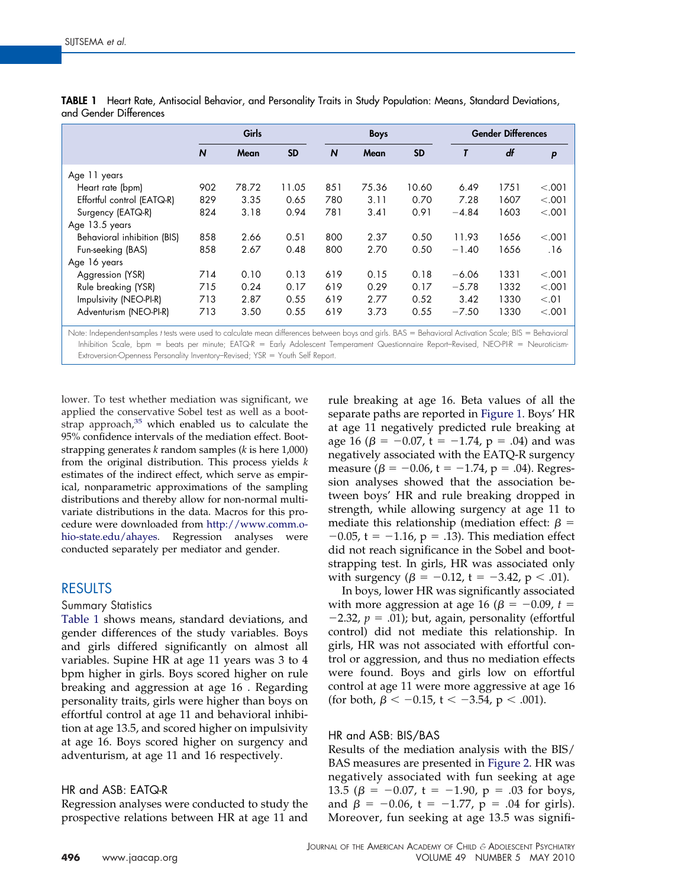|                             | Girls |       |           | <b>Boys</b> |       |           | <b>Gender Differences</b> |      |        |
|-----------------------------|-------|-------|-----------|-------------|-------|-----------|---------------------------|------|--------|
|                             | N     | Mean  | <b>SD</b> | N           | Mean  | <b>SD</b> |                           | df   | P      |
| Age 11 years                |       |       |           |             |       |           |                           |      |        |
| Heart rate (bpm)            | 902   | 78.72 | 11.05     | 851         | 75.36 | 10.60     | 6.49                      | 1751 | < .001 |
| Effortful control (EATQ-R)  | 829   | 3.35  | 0.65      | 780         | 3.11  | 0.70      | 7.28                      | 1607 | < .001 |
| Surgency (EATQ-R)           | 824   | 3.18  | 0.94      | 781         | 3.41  | 0.91      | $-4.84$                   | 1603 | < .001 |
| Age 13.5 years              |       |       |           |             |       |           |                           |      |        |
| Behavioral inhibition (BIS) | 858   | 2.66  | 0.51      | 800         | 2.37  | 0.50      | 11.93                     | 1656 | < .001 |
| Fun-seeking (BAS)           | 858   | 2.67  | 0.48      | 800         | 2.70  | 0.50      | $-1.40$                   | 1656 | .16    |
| Age 16 years                |       |       |           |             |       |           |                           |      |        |
| Aggression (YSR)            | 714   | 0.10  | 0.13      | 619         | 0.15  | 0.18      | $-6.06$                   | 1331 | < .001 |
| Rule breaking (YSR)         | 715   | 0.24  | 0.17      | 619         | 0.29  | 0.17      | $-5.78$                   | 1332 | < .001 |
| Impulsivity (NEO-PI-R)      | 713   | 2.87  | 0.55      | 619         | 2.77  | 0.52      | 3.42                      | 1330 | < 0.01 |
| Adventurism (NEO-PI-R)      | 713   | 3.50  | 0.55      | 619         | 3.73  | 0.55      | $-7.50$                   | 1330 | < .001 |

**TABLE 1** Heart Rate, Antisocial Behavior, and Personality Traits in Study Population: Means, Standard Deviations, and Gender Differences

Note: Independent-samples *t* tests were used to calculate mean differences between boys and girls. BAS = Behavioral Activation Scale; BIS = Behavioral Inhibition Scale, bpm = beats per minute; EATQ-R = Early Adolescent Temperament Questionnaire Report–Revised, NEO-PI-R = Neuroticism-Extroversion-Openness Personality Inventory-Revised; YSR = Youth Self Report.

lower. To test whether mediation was significant, we applied the conservative Sobel test as well as a bootstrap approach, $35$  which enabled us to calculate the 95% confidence intervals of the mediation effect. Bootstrapping generates *k* random samples (*k* is here 1,000) from the original distribution. This process yields *k* estimates of the indirect effect, which serve as empirical, nonparametric approximations of the sampling distributions and thereby allow for non-normal multivariate distributions in the data. Macros for this procedure were downloaded from [http://www.comm.o](http://www.comm.ohio-state.edu/ahayes)[hio-state.edu/ahayes.](http://www.comm.ohio-state.edu/ahayes) Regression analyses were conducted separately per mediator and gender.

# RESULTS

## Summary Statistics

Table 1 shows means, standard deviations, and gender differences of the study variables. Boys and girls differed significantly on almost all variables. Supine HR at age 11 years was 3 to 4 bpm higher in girls. Boys scored higher on rule breaking and aggression at age 16 . Regarding personality traits, girls were higher than boys on effortful control at age 11 and behavioral inhibition at age 13.5, and scored higher on impulsivity at age 16. Boys scored higher on surgency and adventurism, at age 11 and 16 respectively.

# HR and ASB: EATQ-R

Regression analyses were conducted to study the prospective relations between HR at age 11 and

rule breaking at age 16. Beta values of all the separate paths are reported in [Figure 1.](#page-4-0) Boys' HR at age 11 negatively predicted rule breaking at age 16 ( $\beta = -0.07$ , t =  $-1.74$ , p = .04) and was negatively associated with the EATQ-R surgency measure (β =  $-0.06$ , t =  $-1.74$ , p = .04). Regression analyses showed that the association between boys' HR and rule breaking dropped in strength, while allowing surgency at age 11 to mediate this relationship (mediation effect:  $\beta$  =  $-0.05$ , t =  $-1.16$ , p = .13). This mediation effect did not reach significance in the Sobel and bootstrapping test. In girls, HR was associated only with surgency ( $\beta = -0.12$ , t = -3.42, p < .01).

In boys, lower HR was significantly associated with more aggression at age 16 ( $\beta = -0.09$ ,  $t =$  $-2.32$ ,  $p = .01$ ); but, again, personality (effortful control) did not mediate this relationship. In girls, HR was not associated with effortful control or aggression, and thus no mediation effects were found. Boys and girls low on effortful control at age 11 were more aggressive at age 16 (for both,  $\beta < -0.15$ , t  $< -3.54$ , p  $< .001$ ).

## HR and ASB: BIS/BAS

Results of the mediation analysis with the BIS/ BAS measures are presented in [Figure 2.](#page-5-0) HR was negatively associated with fun seeking at age 13.5 ( $\beta$  = -0.07, t = -1.90, p = .03 for boys, and  $\beta = -0.06$ , t =  $-1.77$ , p = .04 for girls). Moreover, fun seeking at age 13.5 was signifi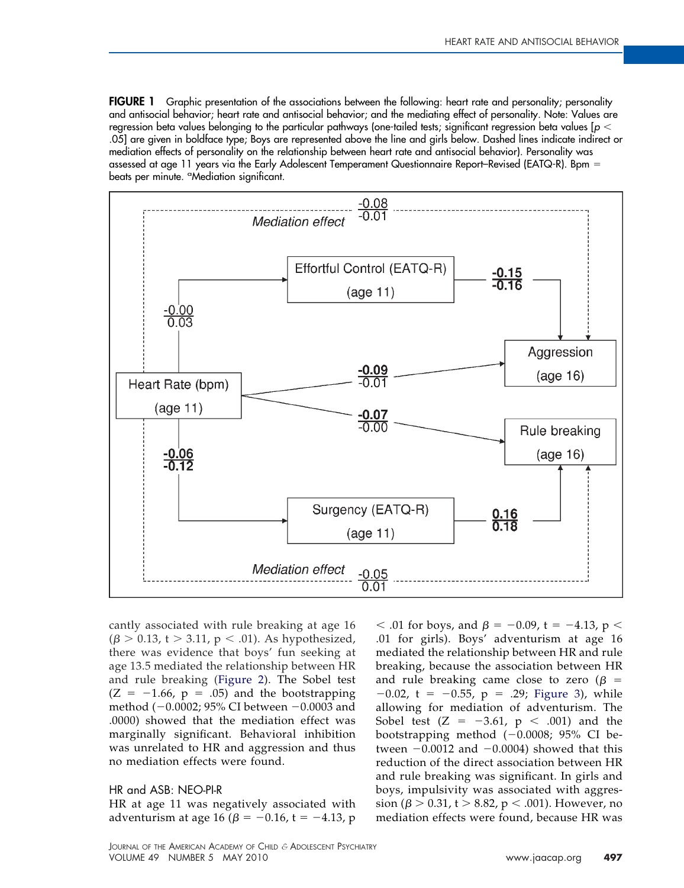<span id="page-4-0"></span>**FIGURE 1** Graphic presentation of the associations between the following: heart rate and personality; personality and antisocial behavior; heart rate and antisocial behavior; and the mediating effect of personality. Note: Values are regression beta values belonging to the particular pathways (one-tailed tests; significant regression beta values [*p* .05] are given in boldface type; Boys are represented above the line and girls below. Dashed lines indicate indirect or mediation effects of personality on the relationship between heart rate and antisocial behavior). Personality was assessed at age 11 years via the Early Adolescent Temperament Questionnaire Report–Revised (EATQ-R). Bpm beats per minute. <sup>a</sup>Mediation significant.



cantly associated with rule breaking at age 16  $(\beta > 0.13, t > 3.11, p < .01)$ . As hypothesized, there was evidence that boys' fun seeking at age 13.5 mediated the relationship between HR and rule breaking [\(Figure 2\)](#page-5-0). The Sobel test  $(Z = -1.66, p = .05)$  and the bootstrapping method (–0.0002; 95% CI between –0.0003 and .0000) showed that the mediation effect was marginally significant. Behavioral inhibition was unrelated to HR and aggression and thus no mediation effects were found.

#### HR and ASB: NEO-PI-R

HR at age 11 was negatively associated with adventurism at age 16 ( $\beta$  =  $-0.16$ , t =  $-4.13$ , p

 $<$  .01 for boys, and  $\beta$  = -0.09, t = -4.13, p  $<$ .01 for girls). Boys' adventurism at age 16 mediated the relationship between HR and rule breaking, because the association between HR and rule breaking came close to zero ( $\beta$  =  $-0.02$ , t =  $-0.55$ , p = .29; [Figure 3\)](#page-6-0), while allowing for mediation of adventurism. The Sobel test (Z =  $-3.61$ , p < .001) and the bootstrapping method (-0.0008; 95% CI between  $-0.0012$  and  $-0.0004$ ) showed that this reduction of the direct association between HR and rule breaking was significant. In girls and boys, impulsivity was associated with aggression ( $\beta$   $>$  0.31, t  $>$  8.82, p  $<$  .001). However, no mediation effects were found, because HR was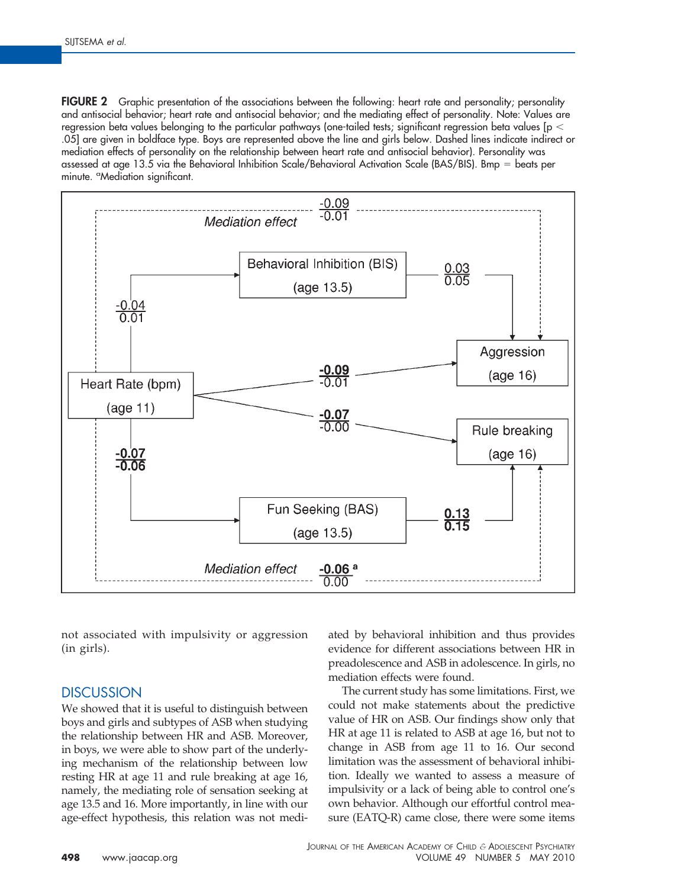<span id="page-5-0"></span>**FIGURE 2** Graphic presentation of the associations between the following: heart rate and personality; personality and antisocial behavior; heart rate and antisocial behavior; and the mediating effect of personality. Note: Values are regression beta values belonging to the particular pathways (one-tailed tests; significant regression beta values [p  $<$ .05] are given in boldface type. Boys are represented above the line and girls below. Dashed lines indicate indirect or mediation effects of personality on the relationship between heart rate and antisocial behavior). Personality was assessed at age 13.5 via the Behavioral Inhibition Scale/Behavioral Activation Scale (BAS/BIS). Bmp beats per minute. <sup>a</sup>Mediation significant.



not associated with impulsivity or aggression (in girls).

# **DISCUSSION**

We showed that it is useful to distinguish between boys and girls and subtypes of ASB when studying the relationship between HR and ASB. Moreover, in boys, we were able to show part of the underlying mechanism of the relationship between low resting HR at age 11 and rule breaking at age 16, namely, the mediating role of sensation seeking at age 13.5 and 16. More importantly, in line with our age-effect hypothesis, this relation was not mediated by behavioral inhibition and thus provides evidence for different associations between HR in preadolescence and ASB in adolescence. In girls, no mediation effects were found.

The current study has some limitations. First, we could not make statements about the predictive value of HR on ASB. Our findings show only that HR at age 11 is related to ASB at age 16, but not to change in ASB from age 11 to 16. Our second limitation was the assessment of behavioral inhibition. Ideally we wanted to assess a measure of impulsivity or a lack of being able to control one's own behavior. Although our effortful control measure (EATQ-R) came close, there were some items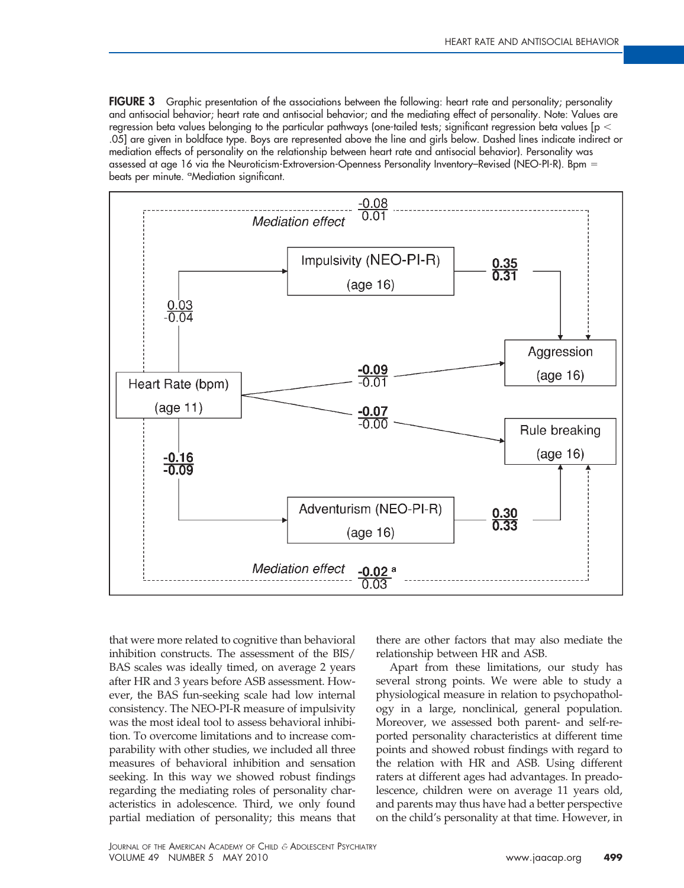<span id="page-6-0"></span>**FIGURE 3** Graphic presentation of the associations between the following: heart rate and personality; personality and antisocial behavior; heart rate and antisocial behavior; and the mediating effect of personality. Note: Values are regression beta values belonging to the particular pathways (one-tailed tests; significant regression beta values [p  $<$ .05] are given in boldface type. Boys are represented above the line and girls below. Dashed lines indicate indirect or mediation effects of personality on the relationship between heart rate and antisocial behavior). Personality was assessed at age 16 via the Neuroticism-Extroversion-Openness Personality Inventory–Revised (NEO-PI-R). Bpm beats per minute. <sup>a</sup>Mediation significant.



that were more related to cognitive than behavioral inhibition constructs. The assessment of the BIS/ BAS scales was ideally timed, on average 2 years after HR and 3 years before ASB assessment. However, the BAS fun-seeking scale had low internal consistency. The NEO-PI-R measure of impulsivity was the most ideal tool to assess behavioral inhibition. To overcome limitations and to increase comparability with other studies, we included all three measures of behavioral inhibition and sensation seeking. In this way we showed robust findings regarding the mediating roles of personality characteristics in adolescence. Third, we only found partial mediation of personality; this means that there are other factors that may also mediate the relationship between HR and ASB.

Apart from these limitations, our study has several strong points. We were able to study a physiological measure in relation to psychopathology in a large, nonclinical, general population. Moreover, we assessed both parent- and self-reported personality characteristics at different time points and showed robust findings with regard to the relation with HR and ASB. Using different raters at different ages had advantages. In preadolescence, children were on average 11 years old, and parents may thus have had a better perspective on the child's personality at that time. However, in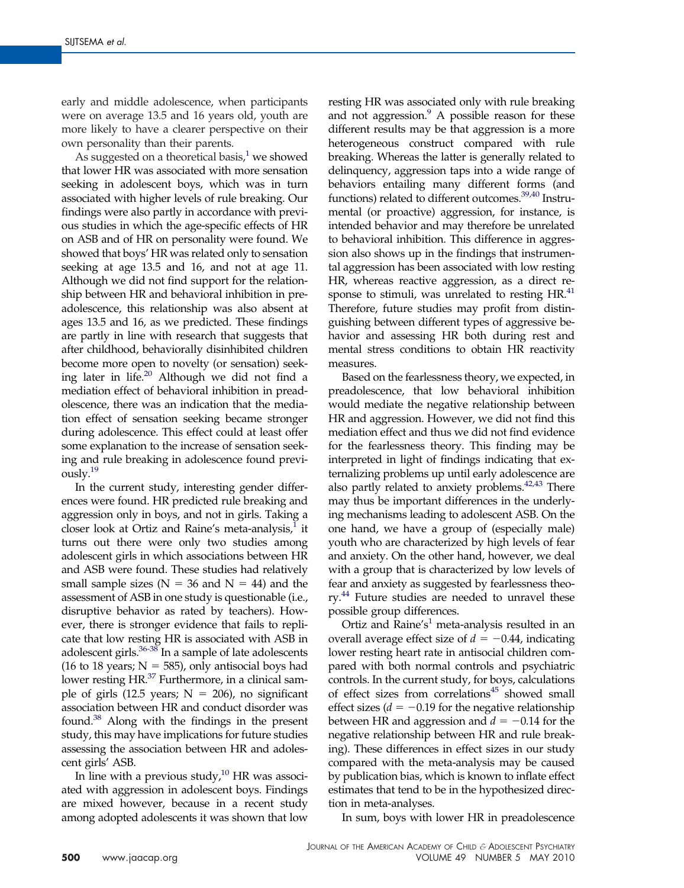early and middle adolescence, when participants were on average 13.5 and 16 years old, youth are more likely to have a clearer perspective on their own personality than their parents.

As suggested on a theoretical basis, $1$  we showed that lower HR was associated with more sensation seeking in adolescent boys, which was in turn associated with higher levels of rule breaking. Our findings were also partly in accordance with previous studies in which the age-specific effects of HR on ASB and of HR on personality were found. We showed that boys' HR was related only to sensation seeking at age 13.5 and 16, and not at age 11. Although we did not find support for the relationship between HR and behavioral inhibition in preadolescence, this relationship was also absent at ages 13.5 and 16, as we predicted. These findings are partly in line with research that suggests that after childhood, behaviorally disinhibited children become more open to novelty (or sensation) seeking later in life. $20$  Although we did not find a mediation effect of behavioral inhibition in preadolescence, there was an indication that the mediation effect of sensation seeking became stronger during adolescence. This effect could at least offer some explanation to the increase of sensation seeking and rule breaking in adolescence found previously.<sup>19</sup>

In the current study, interesting gender differences were found. HR predicted rule breaking and aggression only in boys, and not in girls. Taking a closer look at Ortiz and Raine's meta-analysis, $\frac{1}{1}$  it turns out there were only two studies among adolescent girls in which associations between HR and ASB were found. These studies had relatively small sample sizes ( $N = 36$  and  $N = 44$ ) and the assessment of ASB in one study is questionable (i.e., disruptive behavior as rated by teachers). However, there is stronger evidence that fails to replicate that low resting HR is associated with ASB in adolescent girls.<sup>36-38</sup> In a sample of late adolescents (16 to 18 years;  $N = 585$ ), only antisocial boys had lower resting HR.<sup>37</sup> Furthermore, in a clinical sample of girls (12.5 years;  $N = 206$ ), no significant association between HR and conduct disorder was found[.38](#page-9-0) Along with the findings in the present study, this may have implications for future studies assessing the association between HR and adolescent girls' ASB.

In line with a previous study,  $^{10}$  HR was associated with aggression in adolescent boys. Findings are mixed however, because in a recent study among adopted adolescents it was shown that low

resting HR was associated only with rule breaking and not aggression. $\frac{9}{2}$  A possible reason for these different results may be that aggression is a more heterogeneous construct compared with rule breaking. Whereas the latter is generally related to delinquency, aggression taps into a wide range of behaviors entailing many different forms (and functions) related to different outcomes.<sup>39,40</sup> Instrumental (or proactive) aggression, for instance, is intended behavior and may therefore be unrelated to behavioral inhibition. This difference in aggression also shows up in the findings that instrumental aggression has been associated with low resting HR, whereas reactive aggression, as a direct response to stimuli, was unrelated to resting  $HR<sup>41</sup>$ Therefore, future studies may profit from distinguishing between different types of aggressive behavior and assessing HR both during rest and mental stress conditions to obtain HR reactivity measures.

Based on the fearlessness theory, we expected, in preadolescence, that low behavioral inhibition would mediate the negative relationship between HR and aggression. However, we did not find this mediation effect and thus we did not find evidence for the fearlessness theory. This finding may be interpreted in light of findings indicating that externalizing problems up until early adolescence are also partly related to anxiety problems.<sup>42,43</sup> There may thus be important differences in the underlying mechanisms leading to adolescent ASB. On the one hand, we have a group of (especially male) youth who are characterized by high levels of fear and anxiety. On the other hand, however, we deal with a group that is characterized by low levels of fear and anxiety as suggested by fearlessness theory.<sup>44</sup> Future studies are needed to unravel these possible group differences.

Ortiz and Raine's<sup>1</sup> meta-analysis resulted in an overall average effect size of  $d = -0.44$ , indicating lower resting heart rate in antisocial children compared with both normal controls and psychiatric controls. In the current study, for boys, calculations of effect sizes from correlations<sup>45</sup> showed small effect sizes  $(d = -0.19$  for the negative relationship between HR and aggression and  $d = -0.14$  for the negative relationship between HR and rule breaking). These differences in effect sizes in our study compared with the meta-analysis may be caused by publication bias, which is known to inflate effect estimates that tend to be in the hypothesized direction in meta-analyses.

In sum, boys with lower HR in preadolescence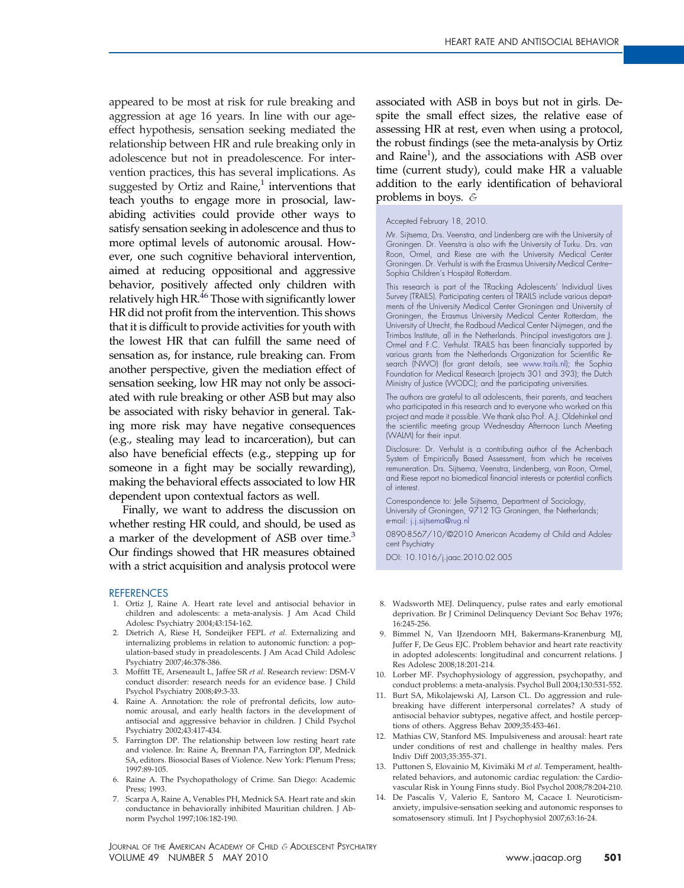<span id="page-8-0"></span>appeared to be most at risk for rule breaking and aggression at age 16 years. In line with our ageeffect hypothesis, sensation seeking mediated the relationship between HR and rule breaking only in adolescence but not in preadolescence. For intervention practices, this has several implications. As suggested by Ortiz and Raine, $\frac{1}{1}$  interventions that teach youths to engage more in prosocial, lawabiding activities could provide other ways to satisfy sensation seeking in adolescence and thus to more optimal levels of autonomic arousal. However, one such cognitive behavioral intervention, aimed at reducing oppositional and aggressive behavior, positively affected only children with relatively high HR. $^{46}$  Those with significantly lower HR did not profit from the intervention. This shows that it is difficult to provide activities for youth with the lowest HR that can fulfill the same need of sensation as, for instance, rule breaking can. From another perspective, given the mediation effect of sensation seeking, low HR may not only be associated with rule breaking or other ASB but may also be associated with risky behavior in general. Taking more risk may have negative consequences (e.g., stealing may lead to incarceration), but can also have beneficial effects (e.g., stepping up for someone in a fight may be socially rewarding), making the behavioral effects associated to low HR dependent upon contextual factors as well.

Finally, we want to address the discussion on whether resting HR could, and should, be used as a marker of the development of ASB over time.<sup>3</sup> Our findings showed that HR measures obtained with a strict acquisition and analysis protocol were

#### **REFERENCES**

- 1. Ortiz J, Raine A. Heart rate level and antisocial behavior in children and adolescents: a meta-analysis. J Am Acad Child Adolesc Psychiatry 2004;43:154-162.
- 2. Dietrich A, Riese H, Sondeijker FEPL *et al.* Externalizing and internalizing problems in relation to autonomic function: a population-based study in preadolescents. J Am Acad Child Adolesc Psychiatry 2007;46:378-386.
- 3. Moffitt TE, Arseneault L, Jaffee SR *et al.* Research review: DSM-V conduct disorder: research needs for an evidence base. J Child Psychol Psychiatry 2008;49:3-33.
- 4. Raine A. Annotation: the role of prefrontal deficits, low autonomic arousal, and early health factors in the development of antisocial and aggressive behavior in children. J Child Psychol Psychiatry 2002;43:417-434.
- 5. Farrington DP. The relationship between low resting heart rate and violence. In: Raine A, Brennan PA, Farrington DP, Mednick SA, editors. Biosocial Bases of Violence. New York: Plenum Press; 1997:89-105.
- 6. Raine A. The Psychopathology of Crime. San Diego: Academic Press; 1993.
- 7. Scarpa A, Raine A, Venables PH, Mednick SA. Heart rate and skin conductance in behaviorally inhibited Mauritian children. J Abnorm Psychol 1997;106:182-190.

associated with ASB in boys but not in girls. Despite the small effect sizes, the relative ease of assessing HR at rest, even when using a protocol, the robust findings (see the meta-analysis by Ortiz and Raine<sup>1</sup>), and the associations with ASB over time (current study), could make HR a valuable addition to the early identification of behavioral problems in boys. *&*

#### Accepted February 18, 2010.

Mr. Sijtsema, Drs. Veenstra, and Lindenberg are with the University of Groningen. Dr. Veenstra is also with the University of Turku. Drs. van Roon, Ormel, and Riese are with the University Medical Center Groningen. Dr. Verhulst is with the Erasmus University Medical Centre– Sophia Children's Hospital Rotterdam.

This research is part of the TRacking Adolescents' Individual Lives Survey (TRAILS). Participating centers of TRAILS include various departments of the University Medical Center Groningen and University of Groningen, the Erasmus University Medical Center Rotterdam, the University of Utrecht, the Radboud Medical Center Nijmegen, and the Trimbos Institute, all in the Netherlands. Principal investigators are J. Ormel and F.C. Verhulst. TRAILS has been financially supported by various grants from the Netherlands Organization for Scientific Research (NWO) (for grant details, see [www.trails.nl\)](http://www.trails.nl); the Sophia Foundation for Medical Research (projects 301 and 393); the Dutch Ministry of Justice (WODC); and the participating universities.

The authors are grateful to all adolescents, their parents, and teachers who participated in this research and to everyone who worked on this project and made it possible. We thank also Prof. A.J. Oldehinkel and the scientific meeting group Wednesday Afternoon Lunch Meeting (WALM) for their input.

Disclosure: Dr. Verhulst is a contributing author of the Achenbach System of Empirically Based Assessment, from which he receives remuneration. Drs. Sijtsema, Veenstra, Lindenberg, van Roon, Ormel, and Riese report no biomedical financial interests or potential conflicts of interest.

Correspondence to: Jelle Sijtsema, Department of Sociology, University of Groningen, 9712 TG Groningen, the Netherlands; e-mail: [j.j.sijtsema@rug.nl](mailto:j.j.sijtsema@rug.nl)

0890-8567/10/©2010 American Academy of Child and Adolescent Psychiatry

DOI: 10.1016/j.jaac.2010.02.005

- 8. Wadsworth MEJ. Delinquency, pulse rates and early emotional deprivation. Br J Criminol Delinquency Deviant Soc Behav 1976; 16:245-256.
- 9. Bimmel N, Van IJzendoorn MH, Bakermans-Kranenburg MJ, Juffer F, De Geus EJC. Problem behavior and heart rate reactivity in adopted adolescents: longitudinal and concurrent relations. J Res Adolesc 2008;18:201-214.
- 10. Lorber MF. Psychophysiology of aggression, psychopathy, and conduct problems: a meta-analysis. Psychol Bull 2004;130:531-552.
- 11. Burt SA, Mikolajewski AJ, Larson CL. Do aggression and rulebreaking have different interpersonal correlates? A study of antisocial behavior subtypes, negative affect, and hostile perceptions of others. Aggress Behav 2009;35:453-461.
- 12. Mathias CW, Stanford MS. Impulsiveness and arousal: heart rate under conditions of rest and challenge in healthy males. Pers Indiv Diff 2003;35:355-371.
- 13. Puttonen S, Elovainio M, Kivimäki M *et al.* Temperament, healthrelated behaviors, and autonomic cardiac regulation: the Cardiovascular Risk in Young Finns study. Biol Psychol 2008;78:204-210.
- 14. De Pascalis V, Valerio E, Santoro M, Cacace I. Neuroticismanxiety, impulsive-sensation seeking and autonomic responses to somatosensory stimuli. Int J Psychophysiol 2007;63:16-24.

JOURNAL OF THE AMERICAN ACADEMY OF CHILD *&* ADOLESCENT PSYCHIATRY VOLUME 49 NUMBER 5 MAY 2010 www.jaacap.org **501**